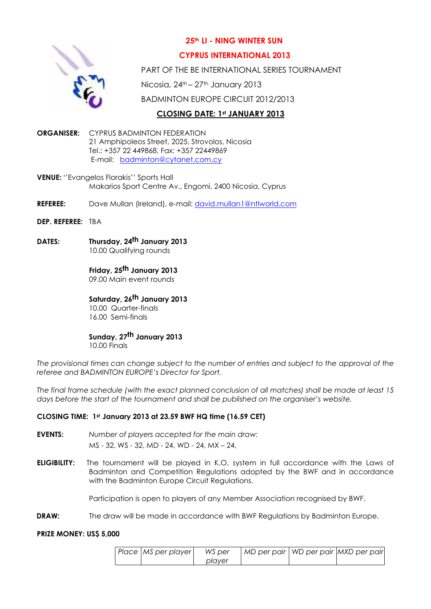

# **25th LI - NING WINTER SUN**

## **CYPRUS INTERNATIONAL 2013**

PART OF THE BE INTERNATIONAL SERIES TOURNAMENT

Nicosia, 24<sup>th</sup> – 27<sup>th</sup> January 2013

BADMINTON EUROPE CIRCUIT 2012/2013

# **CLOSING DATE: 1st JANUARY 2013**

- **ORGANISER:** CYPRUS BADMINTON FEDERATION 21 Amphipoleos Street, 2025, Strovolos, Nicosia Tel.: +35[7 22 449868, Fax: +357 224498](mailto:badminton@cytanet.com.cy)69 E-mail: badminton@cytanet.com.cy
- **VENUE:** ''Evangelos Florakis'' Sports Hall Makarios Sport Centre Av., Engomi, 2400 Nicosia, Cyprus
- **REFEREE:** Dave Mullan (Ireland), e-mail: [david.mullan1@ntlworld.com](mailto:david.mullan1@ntlworld.com)
- **DEP. REFEREE:** TBA
- **DATES: Thursday, 24th January 2013** 10.00 Qualifying rounds
	-

# **Friday, 25th January 2013**

09.00 Main event rounds

# **Saturday, 26 th January 2013**

10.00 Quarter-finals 16.00 Semi-finals

# **Sunday, 27th January 2013**

10.00 Finals

*The provisional times can change subject to the number of entries and subject to the approval of the referee and BADMINTON EUROPE's Director for Sport.*

*The final frame schedule (with the exact planned conclusion of all matches) shall be made at least 15 days before the start of the tournament and shall be published on the organiser's website.* 

### **CLOSING TIME: 1st January 2013 at 23.59 BWF HQ time (16.59 CET)**

- **EVENTS:** *Number of players accepted for the main draw:*  MS - 32, WS - 32, MD - 24, WD - 24, MX – 24,
- **ELIGIBILITY:** The tournament will be played in K.O. system in full accordance with the Laws of Badminton and Competition Regulations adopted by the BWF and in accordance with the Badminton Europe Circuit Regulations.

Participation is open to players of any Member Association recognised by BWF.

**DRAW:** The draw will be made in accordance with BWF Regulations by Badminton Europe.

#### **PRIZE MONEY: US\$ 5,000**

| Place MS per player | WS per |  | MD per pair   WD per pair   MXD per pair |
|---------------------|--------|--|------------------------------------------|
|                     | plaver |  |                                          |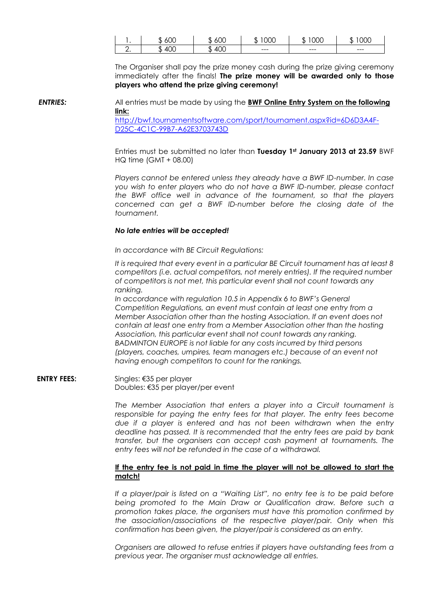|          | Ωſ                   | М         | JOC     | UUC     | ЮC      |
|----------|----------------------|-----------|---------|---------|---------|
|          | $\sim$               | $\sim$    | .       | .D      | к       |
| <u>.</u> | 'OC<br>$\Delta$<br>u | 10C<br>ΔI | $- - -$ | $- - -$ | $- - -$ |

The Organiser shall pay the prize money cash during the prize giving ceremony immediately after the finals! **The prize money will be awarded only to those [players who attend the prize giving](http://bwf.tournamentsoftware.com/sport/tournament.aspx?id=6D6D3A4F-D25C-4C1C-99B7-A62E3703743D) ceremony!**

*ENTRIES:* [All entries must be made by usin](http://bwf.tournamentsoftware.com/sport/tournament.aspx?id=6D6D3A4F-D25C-4C1C-99B7-A62E3703743D)g the **BWF Online Entry System on the following link:** 

http://bwf.tournamentsoftware.com/sport/tournament.aspx?id=6D6D3A4F-D25C-4C1C-99B7-A62E3703743D

Entries must be submitted no later than **Tuesday 1st January 2013 at 23.59** BWF HQ time (GMT + 08.00)

*Players cannot be entered unless they already have a BWF ID-number. In case you wish to enter players who do not have a BWF ID-number, please contact the BWF office well in advance of the tournament, so that the players concerned can get a BWF ID-number before the closing date of the tournament.*

#### *No late entries will be accepted!*

*In accordance with BE Circuit Regulations:*

*It is required that every event in a particular BE Circuit tournament has at least 8 competitors (i.e. actual competitors, not merely entries). If the required number of competitors is not met, this particular event shall not count towards any ranking.*

*In accordance with regulation 10.5 in Appendix 6 to BWF's General Competition Regulations, an event must contain at least one entry from a Member Association other than the hosting Association. If an event does not contain at least one entry from a Member Association other than the hosting Association, this particular event shall not count towards any ranking. BADMINTON EUROPE is not liable for any costs incurred by third persons (players, coaches, umpires, team managers etc.) because of an event not having enough competitors to count for the rankings.*

**ENTRY FEES:** Singles: €35 per player Doubles: €35 per player/per event

> *The Member Association that enters a player into a Circuit tournament is responsible for paying the entry fees for that player. The entry fees become due if a player is entered and has not been withdrawn when the entry deadline has passed. It is recommended that the entry fees are paid by bank transfer, but the organisers can accept cash payment at tournaments. The entry fees will not be refunded in the case of a withdrawal.*

#### **If the entry fee is not paid in time the player will not be allowed to start the match!**

If a player/pair is listed on a "Waiting List", no entry fee is to be paid before *being promoted to the Main Draw or Qualification draw. Before such a promotion takes place, the organisers must have this promotion confirmed by the association/associations of the respective player/pair. Only when this confirmation has been given, the player/pair is considered as an entry.*

*Organisers are allowed to refuse entries if players have outstanding fees from a previous year. The organiser must acknowledge all entries.*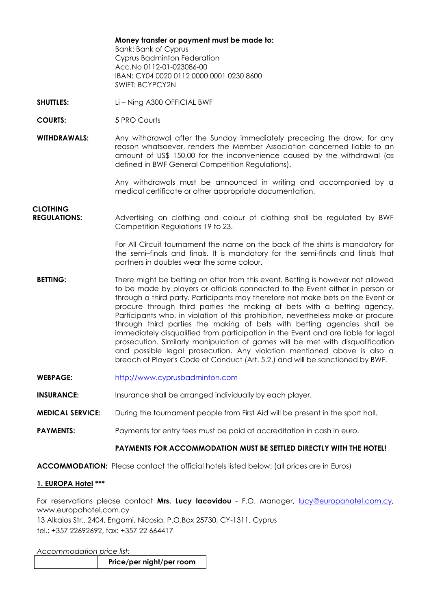**Money transfer or payment must be made to:** Bank: Bank of Cyprus Cyprus Badminton Federation Acc.No 0112-01-023086-00 IBAN: CY04 0020 0112 0000 0001 0230 8600 SWIFT: BCYPCY2N

- **SHUTTLES:** Li Ning A300 OFFICIAL BWF
- **COURTS:** 5 PRO Courts
- **WITHDRAWALS:** Any withdrawal after the Sunday immediately preceding the draw, for any reason whatsoever, renders the Member Association concerned liable to an amount of US\$ 150,00 for the inconvenience caused by the withdrawal (as defined in BWF General Competition Regulations).

Any withdrawals must be announced in writing and accompanied by a medical certificate or other appropriate documentation.

# **CLOTHING**

 **REGULATIONS:** Advertising on clothing and colour of clothing shall be regulated by BWF Competition Regulations 19 to 23.

> For All Circuit tournament the name on the back of the shirts is mandatory for the semi–finals and finals. It is mandatory for the semi-finals and finals that partners in doubles wear the same colour.

- **BETTING:** There might be betting on offer from this event. Betting is however not allowed to be made by players or officials connected to the Event either in person or through a third party. Participants may therefore not make bets on the Event or procure through third parties the making of bets with a betting agency. [Participants who, in violation of th](http://www.cyprusbadminton.com/)is prohibition, nevertheless make or procure through third parties the making of bets with betting agencies shall be immediately disqualified from participation in the Event and are liable for legal prosecution. Similarly manipulation of games will be met with disqualification and possible legal prosecution. Any violation mentioned above is also a breach of Player's Code of Conduct (Art. 5.2.) and will be sanctioned by BWF.
- **WEBPAGE:** http://www.cyprusbadminton.com
- **INSURANCE:** Insurance shall be arranged individually by each player.
- **MEDICAL SERVICE:** During the tournament people from First Aid will be present in the sport hall.
- **PAYMENTS:** Payments for entry fees must be paid at accreditation in cash in euro.

#### **PAYMENTS FOR ACCOMMODATION MUST BE SETTLED [DIRECTLY](mailto:lucy@europahotel.com.cy) WITH THE HOTEL!**

**ACCOMMODATION:** Please contact the official hotels listed below: (all prices are in Euros)

#### **1. EUROPA Hotel \*\*\***

For reservations please contact **Mrs. Lucy Iacovidou** - F.O. Manager, lucy@europahotel.com.cy, www.europahotel.com.cy

13 Alkaios Str., 2404, Engomi, Nicosia, P.O.Box 25730, CY-1311, Cyprus tel.: +357 22692692, fax: +357 22 664417

*Accommodation price list:*

|--|